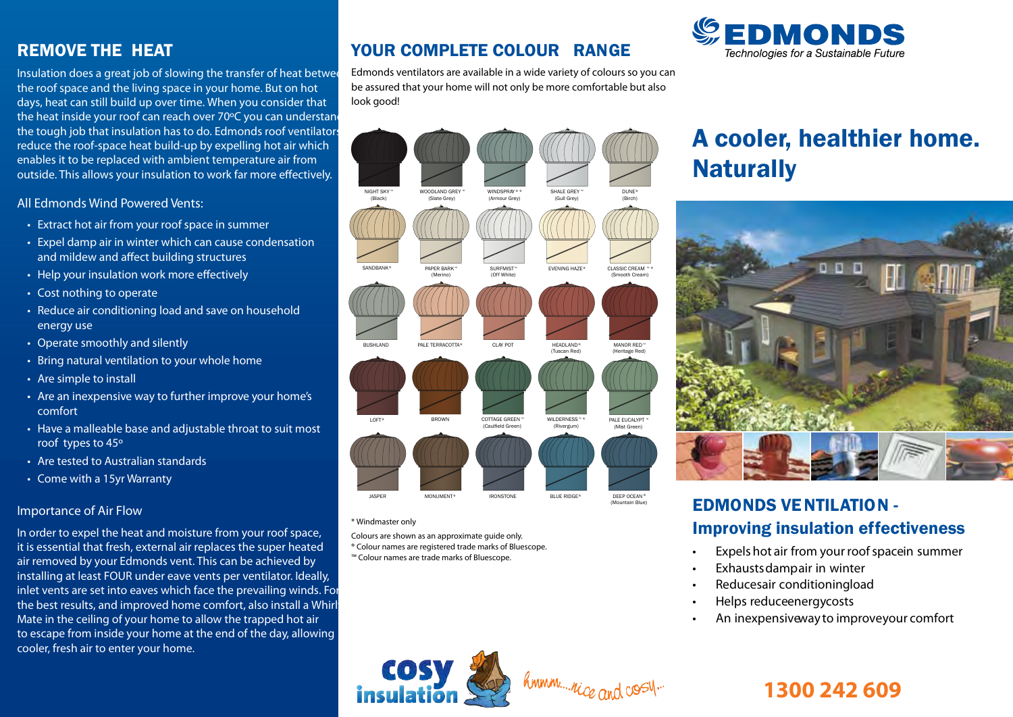## REMOVE THE HEAT

Insulation does a great job of slowing the transfer of heat between the roof space and the living space in your home. But on hot days, heat can still build up over time. When you consider that the heat inside your roof can reach over 70°C you can understand the tough job that insulation has to do. Edmonds roof ventilators reduce the roof-space heat build-up by expelling hot air which enables it to be replaced with ambient temperature air from outside. This allows your insulation to work far more effectively.

#### **All Edmonds Wind Powered Vents:**

- **• Extract hot air from your roof space in summer**
- **• Expel damp air in winter which can cause condensation**  and mildew and affect building structures
- Help your insulation work more effectively
- **• Cost nothing to operate**
- **• Reduce air conditioning load and save on household energy use**
- **• Operate smoothly and silently**
- **• Bring natural ventilation to your whole home**
- **• Are simple to install**
- **• Are an inexpensive way to further improve your home's comfort**
- **• Have a malleable base and adjustable throat to suit most roof types to 45º**
- **• Are tested to Australian standards**
- **• Come with a 15yr Warranty**

#### **Importance of Air Flow**

In order to expel the heat and moisture from your roof space, it is essential that fresh, external air replaces the super heated air removed by your Edmonds vent. This can be achieved by installing at least FOUR under eave vents per ventilator. Ideally, inlet vents are set into eaves which face the prevailing winds. For the best results, and improved home comfort, also install a Whirl Mate in the ceiling of your home to allow the trapped hot air to escape from inside your home at the end of the day, allowing cooler, fresh air to enter your home.

## YOUR COMPLETE COLOUR RANGE

Edmonds ventilators are available in a wide variety of colours so you can be assured that your home will not only be more comfortable but also look good!



#### \* Windmaster only

Colours are shown as an approximate guide only.

- ® Colour names are registered trade marks of Bluescope.
- ™ Colour names are trade marks of Bluescope.



# A cooler, healthier home. **Naturally**



## EDMONDS VE NTILATION - Improving insulation effectiveness

- **Expels hot air from your roofspacein summer**
- **Exhaustsdampair in winter**
- **Reducesair conditioningload**
- **Helps reduceenergycosts**
- **An inexpensiveway to improveyour comfort**



hmmm....nice and cost.

# **1300 242 609**